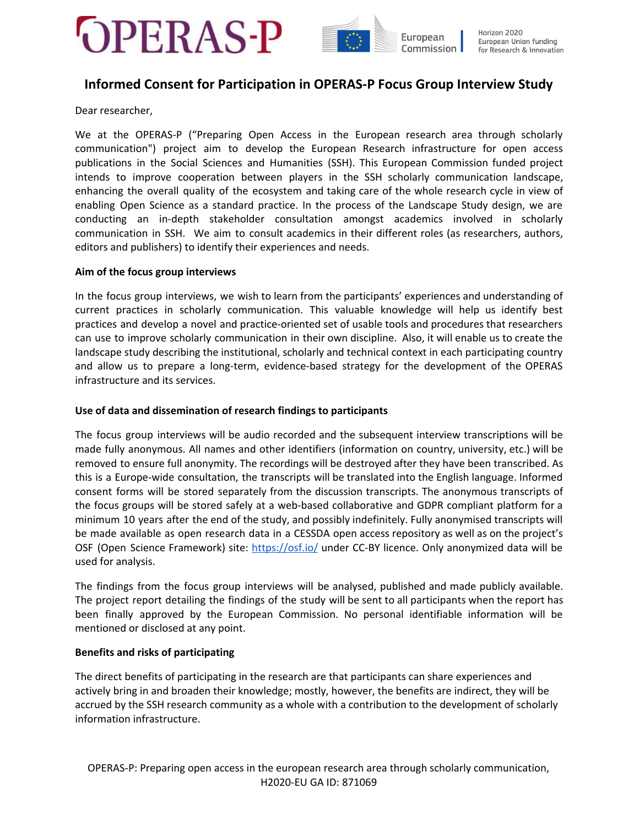

# **Informed Consent for Participation in OPERAS-P Focus Group Interview Study**

Dear researcher,

We at the OPERAS-P ("Preparing Open Access in the European research area through scholarly communication") project aim to develop the European Research infrastructure for open access publications in the Social Sciences and Humanities (SSH). This European Commission funded project intends to improve cooperation between players in the SSH scholarly communication landscape, enhancing the overall quality of the ecosystem and taking care of the whole research cycle in view of enabling Open Science as a standard practice. In the process of the Landscape Study design, we are conducting an in-depth stakeholder consultation amongst academics involved in scholarly communication in SSH. We aim to consult academics in their different roles (as researchers, authors, editors and publishers) to identify their experiences and needs.

### **Aim of the focus group interviews**

In the focus group interviews, we wish to learn from the participants' experiences and understanding of current practices in scholarly communication. This valuable knowledge will help us identify best practices and develop a novel and practice-oriented set of usable tools and procedures that researchers can use to improve scholarly communication in their own discipline. Also, it will enable us to create the landscape study describing the institutional, scholarly and technical context in each participating country and allow us to prepare a long-term, evidence-based strategy for the development of the OPERAS infrastructure and its services.

### **Use of data and dissemination of research findings to participants**

The focus group interviews will be audio recorded and the subsequent interview transcriptions will be made fully anonymous. All names and other identifiers (information on country, university, etc.) will be removed to ensure full anonymity. The recordings will be destroyed after they have been transcribed. As this is a Europe-wide consultation, the transcripts will be translated into the English language. Informed consent forms will be stored separately from the discussion transcripts. The anonymous transcripts of the focus groups will be stored safely at a web-based collaborative and GDPR compliant platform for a minimum 10 years after the end of the study, and possibly indefinitely. Fully anonymised transcripts will be made available as open research data in a CESSDA open access repository as well as on the project's OSF (Open Science Framework) site: <https://osf.io/> under CC-BY licence. Only anonymized data will be used for analysis.

The findings from the focus group interviews will be analysed, published and made publicly available. The project report detailing the findings of the study will be sent to all participants when the report has been finally approved by the European Commission. No personal identifiable information will be mentioned or disclosed at any point.

# **Benefits and risks of participating**

The direct benefits of participating in the research are that participants can share experiences and actively bring in and broaden their knowledge; mostly, however, the benefits are indirect, they will be accrued by the SSH research community as a whole with a contribution to the development of scholarly information infrastructure.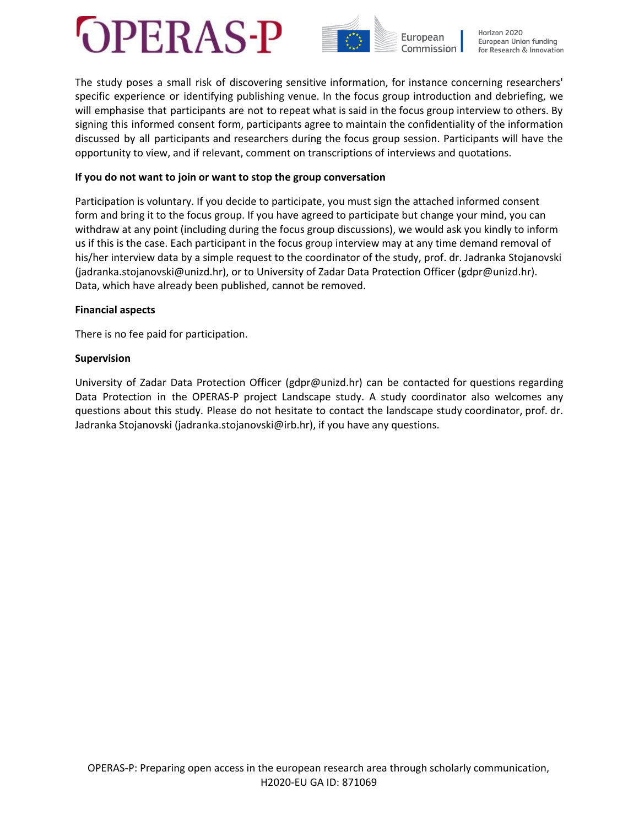



The study poses a small risk of discovering sensitive information, for instance concerning researchers' specific experience or identifying publishing venue. In the focus group introduction and debriefing, we will emphasise that participants are not to repeat what is said in the focus group interview to others. By signing this informed consent form, participants agree to maintain the confidentiality of the information discussed by all participants and researchers during the focus group session. Participants will have the opportunity to view, and if relevant, comment on transcriptions of interviews and quotations.

## **If you do not want to join or want to stop the group conversation**

Participation is voluntary. If you decide to participate, you must sign the attached informed consent form and bring it to the focus group. If you have agreed to participate but change your mind, you can withdraw at any point (including during the focus group discussions), we would ask you kindly to inform us if this is the case. Each participant in the focus group interview may at any time demand removal of his/her interview data by a simple request to the coordinator of the study, prof. dr. Jadranka Stojanovski (jadranka.stojanovski@unizd.hr), or to University of Zadar Data Protection Officer (gdpr@unizd.hr). Data, which have already been published, cannot be removed.

### **Financial aspects**

There is no fee paid for participation.

# **Supervision**

University of Zadar Data Protection Officer (gdpr@unizd.hr) can be contacted for questions regarding Data Protection in the OPERAS-P project Landscape study. A study coordinator also welcomes any questions about this study. Please do not hesitate to contact the landscape study coordinator, prof. dr. Jadranka Stojanovski (jadranka.stojanovski@irb.hr), if you have any questions.